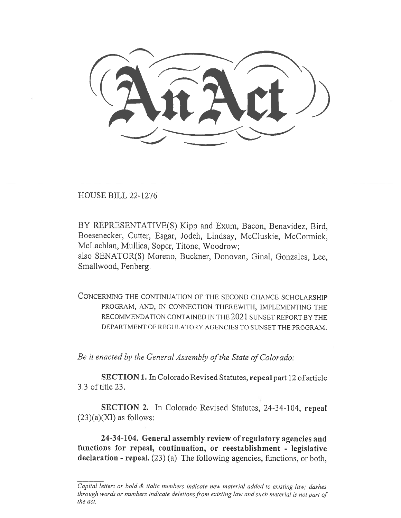HOUSE BILL 22-1276

BY REPRESENTATIVE(S) Kipp and Exum, Bacon, Benavidez, Bird, Boesenecker, Cutter, Esgar, Jodeh, Lindsay, McCluskie, McCormick, McLachlan, Mullica, Soper, Titone, Woodrow;

also SENATOR(S) Moreno, Buckner, Donovan, Ginal, Gonzales, Lee, Smallwood, Fenberg.

CONCERNING THE CONTINUATION OF THE SECOND CHANCE SCHOLARSHIP PROGRAM, AND, IN CONNECTION THEREWITH, IMPLEMENTING THE RECOMMENDATION CONTAINED IN THE 2021 SUNSET REPORT BY THE DEPARTMENT OF REGULATORY AGENCIES TO SUNSET THE PROGRAM.

Be it enacted by the General Assembly of the State of Colorado:

SECTION 1. In Colorado Revised Statutes, repeal part 12 of article 3.3 of title 23.

SECTION 2. In Colorado Revised Statutes, 24-34-104, repeal  $(23)(a)(XI)$  as follows:

24-34-104. General assembly review of regulatory agencies and functions for repeal, continuation, or reestablishment - legislative declaration - repeal. (23) (a) The following agencies, functions, or both,

Capital letters or bold & italic numbers indicate new material added to existing law; dashes through words or numbers indicate deletions from existing law and such material is not part of the act.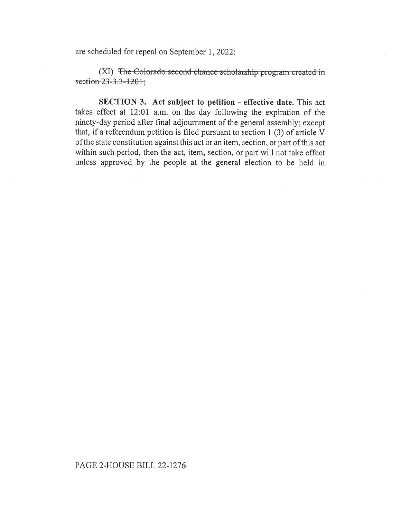are scheduled for repeal on September 1, 2022:

(XI) The Colorado second chance scholarship program created in section 23-3.3-1201;

SECTION 3. Act subject to petition - effective date. This act takes effect at 12:01 a.m. on the day following the expiration of the ninety-day period after final adjournment of the general assembly; except that, if a referendum petition is filed pursuant to section 1 (3) of article V of the state constitution against this act or an item, section, or part of this act within such period, then the act, item, section, or part will not take effect unless approved by the people at the general election to be held in